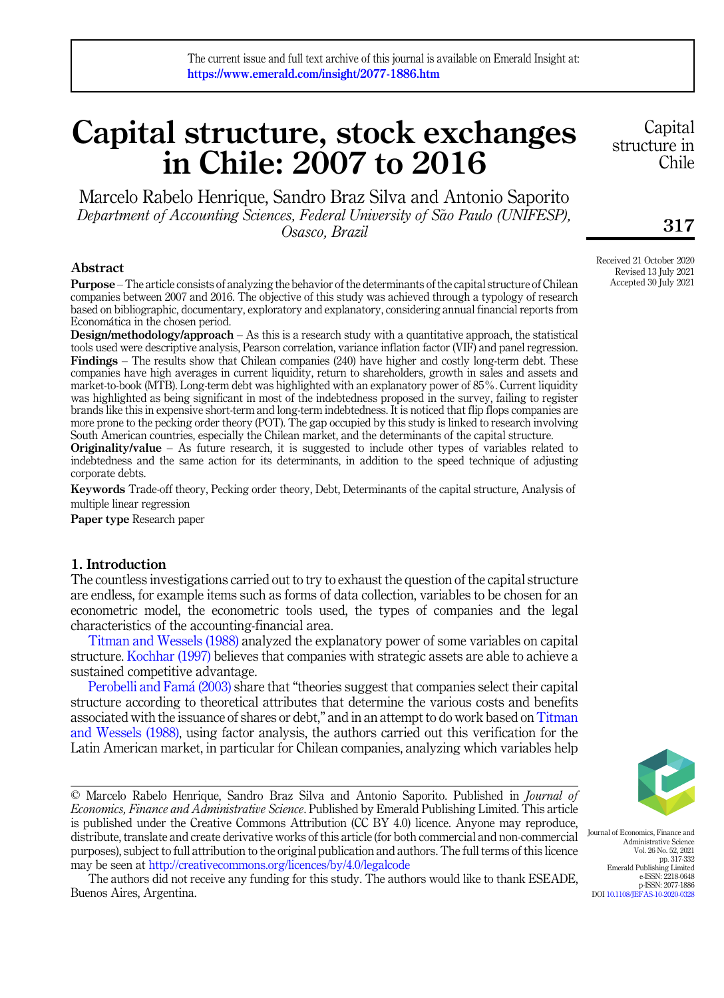# Capital structure, stock exchanges in Chile: 2007 to 2016

Marcelo Rabelo Henrique, Sandro Braz Silva and Antonio Saporito Department of Accounting Sciences, Federal University of São Paulo (UNIFESP), Osasco, Brazil

# Abstract

Purpose – The article consists of analyzing the behavior of the determinants of the capital structure of Chilean companies between 2007 and 2016. The objective of this study was achieved through a typology of research based on bibliographic, documentary, exploratory and explanatory, considering annual financial reports from Economática in the chosen period.

Design/methodology/approach – As this is a research study with a quantitative approach, the statistical tools used were descriptive analysis, Pearson correlation, variance inflation factor (VIF) and panel regression. Findings – The results show that Chilean companies (240) have higher and costly long-term debt. These companies have high averages in current liquidity, return to shareholders, growth in sales and assets and market-to-book (MTB). Long-term debt was highlighted with an explanatory power of 85%. Current liquidity was highlighted as being significant in most of the indebtedness proposed in the survey, failing to register brands like this in expensive short-term and long-term indebtedness. It is noticed that flip flops companies are more prone to the pecking order theory (POT). The gap occupied by this study is linked to research involving South American countries, especially the Chilean market, and the determinants of the capital structure.

**Originality/value** – As future research, it is suggested to include other types of variables related to indebtedness and the same action for its determinants, in addition to the speed technique of adjusting corporate debts.

Keywords Trade-off theory, Pecking order theory, Debt, Determinants of the capital structure, Analysis of multiple linear regression

Paper type Research paper

## <span id="page-0-0"></span>1. Introduction

The countless investigations carried out to try to exhaust the question of the capital structure are endless, for example items such as forms of data collection, variables to be chosen for an econometric model, the econometric tools used, the types of companies and the legal characteristics of the accounting-financial area.

[Titman and Wessels \(1988\)](#page-15-0) analyzed the explanatory power of some variables on capital structure. [Kochhar \(1997\)](#page-14-0) believes that companies with strategic assets are able to achieve a sustained competitive advantage.

[Perobelli and Fam](#page-14-1)á (2003) share that "theories suggest that companies select their capital structure according to theoretical attributes that determine the various costs and benefits associated with the issuance of shares or debt," and in an attempt to do work based on [Titman](#page-15-0) [and Wessels \(1988\)](#page-15-0), using factor analysis, the authors carried out this verification for the Latin American market, in particular for Chilean companies, analyzing which variables help

© Marcelo Rabelo Henrique, Sandro Braz Silva and Antonio Saporito. Published in Journal of Economics, Finance and Administrative Science. Published by Emerald Publishing Limited. This article is published under the Creative Commons Attribution (CC BY 4.0) licence. Anyone may reproduce, distribute, translate and create derivative works of this article (for both commercial and non-commercial purposes), subject to full attribution to the original publication and authors. The full terms of this licence may be seen at <http://creativecommons.org/licences/by/4.0/legalcode>

The authors did not receive any funding for this study. The authors would like to thank ESEADE, Buenos Aires, Argentina.

**Capital** structure in Chile

# 317

Received 21 October 2020 Revised 13 July 2021 Accepted 30 July 2021



Journal of Economics, Finance and Administrative Science Vol. 26 No. 52, 2021 pp. 317-332 Emerald Publishing Limited e-ISSN: 2218-0648 p-ISSN: 2077-1886 DOI [10.1108/JEFAS-10-2020-0328](https://doi.org/10.1108/JEFAS-10-2020-0328)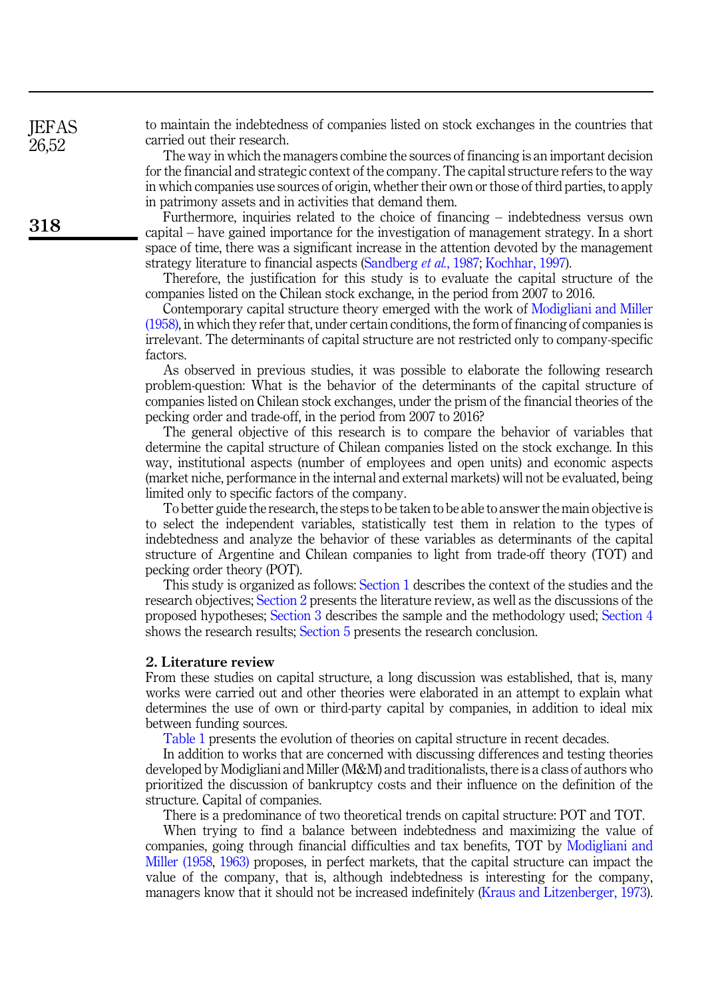to maintain the indebtedness of companies listed on stock exchanges in the countries that carried out their research.

The way in which the managers combine the sources of financing is an important decision for the financial and strategic context of the company. The capital structure refers to the way in which companies use sources of origin, whether their own or those of third parties, to apply in patrimony assets and in activities that demand them.

Furthermore, inquiries related to the choice of financing – indebtedness versus own capital – have gained importance for the investigation of management strategy. In a short space of time, there was a significant increase in the attention devoted by the management strategy literature to financial aspects [\(Sandberg](#page-15-1) et al., 1987; [Kochhar, 1997\)](#page-14-0).

Therefore, the justification for this study is to evaluate the capital structure of the companies listed on the Chilean stock exchange, in the period from 2007 to 2016.

Contemporary capital structure theory emerged with the work of [Modigliani and Miller](#page-14-2) [\(1958\),](#page-14-2) in which they refer that, under certain conditions, the form of financing of companies is irrelevant. The determinants of capital structure are not restricted only to company-specific factors.

As observed in previous studies, it was possible to elaborate the following research problem-question: What is the behavior of the determinants of the capital structure of companies listed on Chilean stock exchanges, under the prism of the financial theories of the pecking order and trade-off, in the period from 2007 to 2016?

The general objective of this research is to compare the behavior of variables that determine the capital structure of Chilean companies listed on the stock exchange. In this way, institutional aspects (number of employees and open units) and economic aspects (market niche, performance in the internal and external markets) will not be evaluated, being limited only to specific factors of the company.

To better guide the research, the steps to be taken to be able to answer the main objective is to select the independent variables, statistically test them in relation to the types of indebtedness and analyze the behavior of these variables as determinants of the capital structure of Argentine and Chilean companies to light from trade-off theory (TOT) and pecking order theory (POT).

This study is organized as follows: [Section 1](#page-0-0) describes the context of the studies and the research objectives; [Section 2](#page-1-0) presents the literature review, as well as the discussions of the proposed hypotheses; [Section 3](#page-4-0) describes the sample and the methodology used; [Section 4](#page-7-0) shows the research results; [Section 5](#page-11-0) presents the research conclusion.

#### <span id="page-1-0"></span>2. Literature review

From these studies on capital structure, a long discussion was established, that is, many works were carried out and other theories were elaborated in an attempt to explain what determines the use of own or third-party capital by companies, in addition to ideal mix between funding sources.

[Table 1](#page-2-0) presents the evolution of theories on capital structure in recent decades.

In addition to works that are concerned with discussing differences and testing theories developed by Modigliani and Miller (M&M) and traditionalists, there is a class of authors who prioritized the discussion of bankruptcy costs and their influence on the definition of the structure. Capital of companies.

There is a predominance of two theoretical trends on capital structure: POT and TOT.

When trying to find a balance between indebtedness and maximizing the value of companies, going through financial difficulties and tax benefits, TOT by [Modigliani and](#page-14-2) [Miller \(1958,](#page-14-2) [1963\)](#page-14-3) proposes, in perfect markets, that the capital structure can impact the value of the company, that is, although indebtedness is interesting for the company, managers know that it should not be increased indefinitely [\(Kraus and Litzenberger, 1973\)](#page-14-4).

**IEFAS** 26,52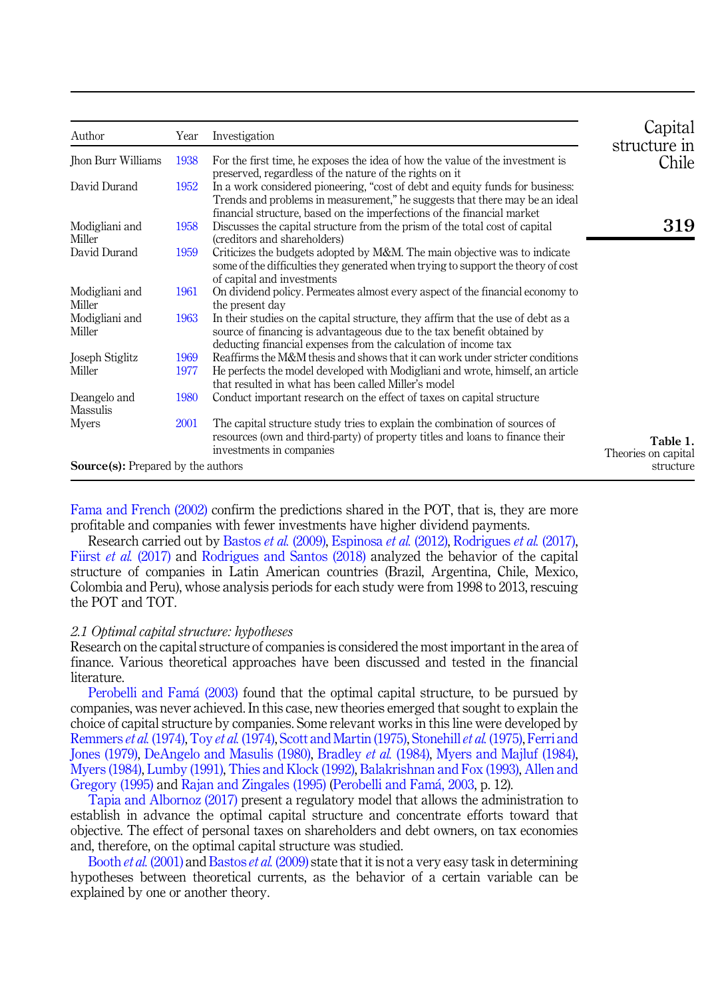<span id="page-2-0"></span>

| Author                                    | Year | Investigation                                                                                                                                                                                                                           | Capital                         |
|-------------------------------------------|------|-----------------------------------------------------------------------------------------------------------------------------------------------------------------------------------------------------------------------------------------|---------------------------------|
| Jhon Burr Williams                        | 1938 | For the first time, he exposes the idea of how the value of the investment is<br>preserved, regardless of the nature of the rights on it                                                                                                | structure in<br>Chile           |
| David Durand                              | 1952 | In a work considered pioneering, "cost of debt and equity funds for business:<br>Trends and problems in measurement," he suggests that there may be an ideal<br>financial structure, based on the imperfections of the financial market |                                 |
| Modigliani and<br>Miller                  | 1958 | Discusses the capital structure from the prism of the total cost of capital<br>(creditors and shareholders)                                                                                                                             | 319                             |
| David Durand                              | 1959 | Criticizes the budgets adopted by M&M. The main objective was to indicate<br>some of the difficulties they generated when trying to support the theory of cost<br>of capital and investments                                            |                                 |
| Modigliani and<br>Miller                  | 1961 | On dividend policy. Permeates almost every aspect of the financial economy to<br>the present day                                                                                                                                        |                                 |
| Modigliani and<br>Miller                  | 1963 | In their studies on the capital structure, they affirm that the use of debt as a<br>source of financing is advantageous due to the tax benefit obtained by<br>deducting financial expenses from the calculation of income tax           |                                 |
| Joseph Stiglitz                           | 1969 | Reaffirms the M&M thesis and shows that it can work under stricter conditions                                                                                                                                                           |                                 |
| Miller                                    | 1977 | He perfects the model developed with Modigliani and wrote, himself, an article<br>that resulted in what has been called Miller's model                                                                                                  |                                 |
| Deangelo and<br>Massulis                  | 1980 | Conduct important research on the effect of taxes on capital structure                                                                                                                                                                  |                                 |
| Myers                                     | 2001 | The capital structure study tries to explain the combination of sources of<br>resources (own and third-party) of property titles and loans to finance their<br>investments in companies                                                 | Table 1.<br>Theories on capital |
| <b>Source(s):</b> Prepared by the authors |      |                                                                                                                                                                                                                                         | structure                       |

[Fama and French \(2002\)](#page-13-0) confirm the predictions shared in the POT, that is, they are more profitable and companies with fewer investments have higher dividend payments.

Research carried out by [Bastos](#page-13-1) et al. (2009), [Espinosa](#page-13-2) et al. (2012), [Rodrigues](#page-15-2) et al. (2017), Fiirst et al. [\(2017\)](#page-13-3) and [Rodrigues and Santos \(2018\)](#page-15-3) analyzed the behavior of the capital structure of companies in Latin American countries (Brazil, Argentina, Chile, Mexico, Colombia and Peru), whose analysis periods for each study were from 1998 to 2013, rescuing the POT and TOT.

## 2.1 Optimal capital structure: hypotheses

Research on the capital structure of companies is considered the most important in the area of finance. Various theoretical approaches have been discussed and tested in the financial literature.

[Perobelli and Fam](#page-14-1)á (2003) found that the optimal capital structure, to be pursued by companies, was never achieved. In this case, new theories emerged that sought to explain the choice of capital structure by companies. Some relevant works in this line were developed by [Remmers](#page-15-4) et al. [\(1974\)](#page-15-5), Toy et al. (1974), [Scott and Martin \(1975\)](#page-15-6), [Stonehill](#page-15-7) et al. (1975), [Ferri and](#page-13-4) [Jones \(1979\),](#page-13-4) [DeAngelo and Masulis \(1980\),](#page-13-5) [Bradley](#page-13-6) et al. (1984), [Myers and Majluf \(1984\)](#page-14-5), [Myers \(1984\),](#page-14-6) [Lumby \(1991\)](#page-14-7), [Thies and Klock \(1992\),](#page-15-8) [Balakrishnan and Fox \(1993\),](#page-12-0) [Allen and](#page-12-1) [Gregory \(1995\)](#page-12-1) and [Rajan and Zingales \(1995\)](#page-14-8) [\(Perobelli and Fam](#page-14-1)á, 2003, p. 12).

[Tapia and Albornoz \(2017\)](#page-15-9) present a regulatory model that allows the administration to establish in advance the optimal capital structure and concentrate efforts toward that objective. The effect of personal taxes on shareholders and debt owners, on tax economies and, therefore, on the optimal capital structure was studied.

[Booth](#page-13-7) *et al.* (2001) and [Bastos](#page-13-1) *et al.* (2009) state that it is not a very easy task in determining hypotheses between theoretical currents, as the behavior of a certain variable can be explained by one or another theory.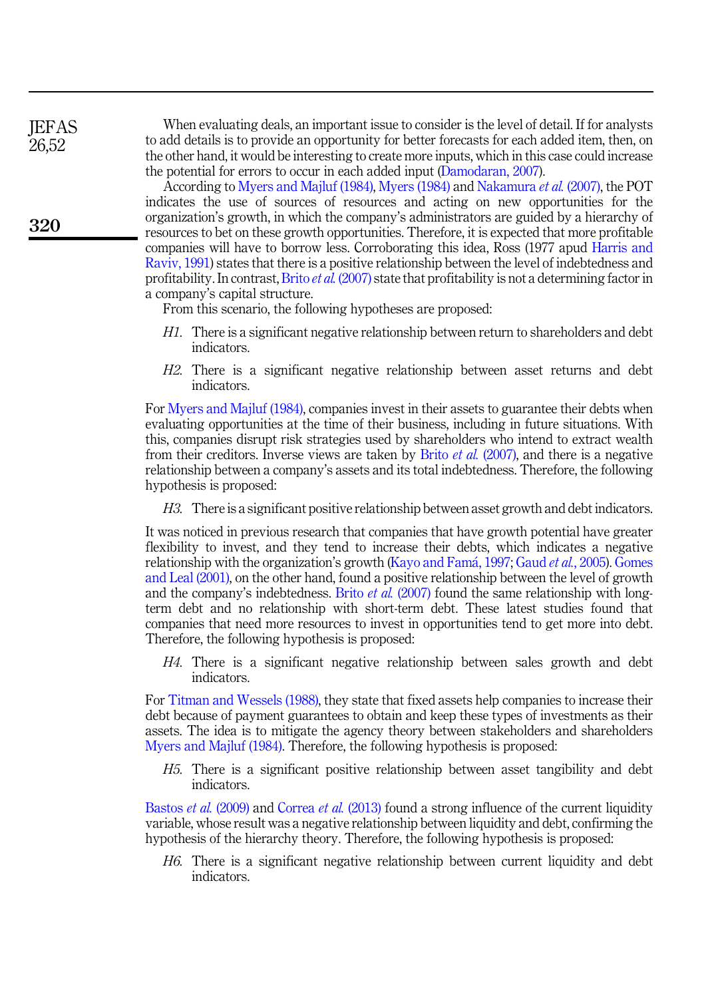**IEFAS** 26,52

320

When evaluating deals, an important issue to consider is the level of detail. If for analysts to add details is to provide an opportunity for better forecasts for each added item, then, on the other hand, it would be interesting to create more inputs, which in this case could increase the potential for errors to occur in each added input ([Damodaran, 2007](#page-13-10)).

According to [Myers and Majluf \(1984\)](#page-14-5), [Myers \(1984\)](#page-14-6) and [Nakamura](#page-14-12) et al. (2007), the POT indicates the use of sources of resources and acting on new opportunities for the organization's growth, in which the company's administrators are guided by a hierarchy of resources to bet on these growth opportunities. Therefore, it is expected that more profitable companies will have to borrow less. Corroborating this idea, Ross (1977 apud [Harris and](#page-13-11) [Raviv, 1991](#page-13-11)) states that there is a positive relationship between the level of indebtedness and profitability. In contrast, Brito *et al.* [\(2007\)](#page-13-12) state that profitability is not a determining factor in a company's capital structure.

From this scenario, the following hypotheses are proposed:

- <span id="page-3-0"></span>H1. There is a significant negative relationship between return to shareholders and debt indicators.
- <span id="page-3-1"></span>H2. There is a significant negative relationship between asset returns and debt indicators.

For [Myers and Majluf \(1984\),](#page-14-5) companies invest in their assets to guarantee their debts when evaluating opportunities at the time of their business, including in future situations. With this, companies disrupt risk strategies used by shareholders who intend to extract wealth from their creditors. Inverse views are taken by Brito *et al.* [\(2007\),](#page-13-12) and there is a negative relationship between a company's assets and its total indebtedness. Therefore, the following hypothesis is proposed:

<span id="page-3-2"></span>H3. There is a significant positive relationship between asset growth and debt indicators.

It was noticed in previous research that companies that have growth potential have greater flexibility to invest, and they tend to increase their debts, which indicates a negative relationship with the organization's growth [\(Kayo and Fam](#page-14-13)á, 1997; Gaud *et al.*[, 2005\)](#page-13-13). [Gomes](#page-13-14) [and Leal \(2001\)](#page-13-14), on the other hand, found a positive relationship between the level of growth and the company's indebtedness. Brito *et al.* [\(2007\)](#page-13-12) found the same relationship with longterm debt and no relationship with short-term debt. These latest studies found that companies that need more resources to invest in opportunities tend to get more into debt. Therefore, the following hypothesis is proposed:

<span id="page-3-3"></span>H4. There is a significant negative relationship between sales growth and debt indicators.

For [Titman and Wessels \(1988\)](#page-15-0), they state that fixed assets help companies to increase their debt because of payment guarantees to obtain and keep these types of investments as their assets. The idea is to mitigate the agency theory between stakeholders and shareholders [Myers and Majluf \(1984\)](#page-14-5). Therefore, the following hypothesis is proposed:

<span id="page-3-4"></span>H5. There is a significant positive relationship between asset tangibility and debt indicators.

[Bastos](#page-13-1) *et al.* (2009) and [Correa](#page-13-15) *et al.* (2013) found a strong influence of the current liquidity variable, whose result was a negative relationship between liquidity and debt, confirming the hypothesis of the hierarchy theory. Therefore, the following hypothesis is proposed:

<span id="page-3-5"></span>H6. There is a significant negative relationship between current liquidity and debt indicators.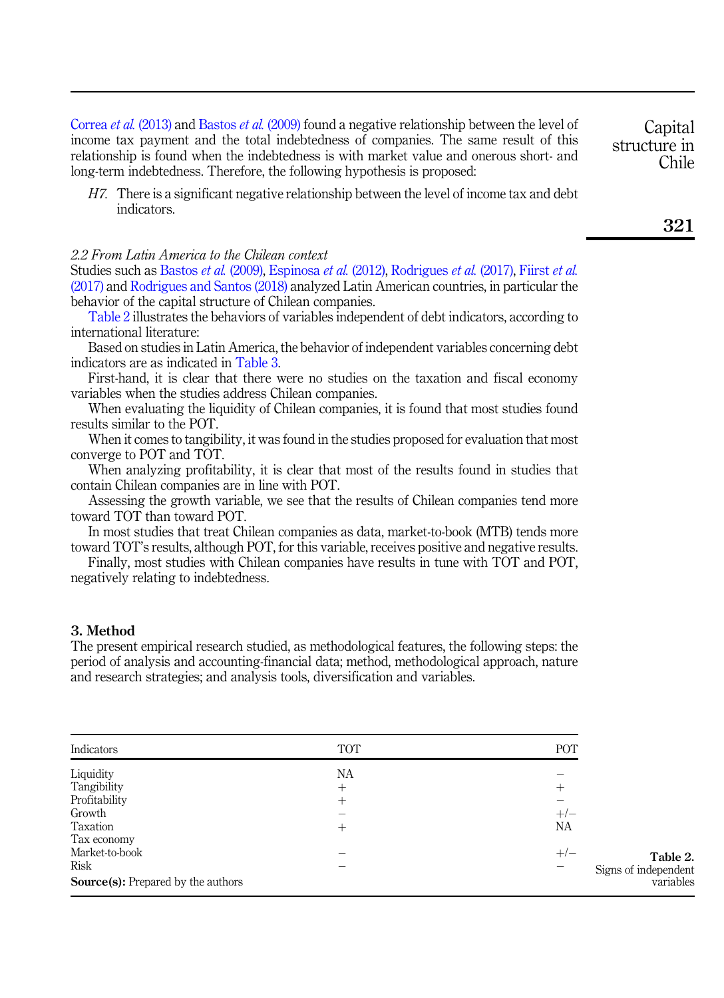[Correa](#page-13-15) et al. (2013) and [Bastos](#page-13-1) et al. (2009) found a negative relationship between the level of income tax payment and the total indebtedness of companies. The same result of this relationship is found when the indebtedness is with market value and onerous short- and long-term indebtedness. Therefore, the following hypothesis is proposed:

<span id="page-4-1"></span>H7. There is a significant negative relationship between the level of income tax and debt indicators.

# 2.2 From Latin America to the Chilean context

Studies such as [Bastos](#page-13-1) et al. (2009), [Espinosa](#page-13-2) et al. (2012), [Rodrigues](#page-15-2) et al. (2017), [Fiirst](#page-13-3) et al. [\(2017\)](#page-13-3) and [Rodrigues and Santos \(2018\)](#page-15-3) analyzed Latin American countries, in particular the behavior of the capital structure of Chilean companies.

Table 2 illustrates the behaviors of variables independent of debt indicators, according to international literature:

Based on studies in Latin America, the behavior of independent variables concerning debt indicators are as indicated in [Table 3](#page-5-0).

First-hand, it is clear that there were no studies on the taxation and fiscal economy variables when the studies address Chilean companies.

When evaluating the liquidity of Chilean companies, it is found that most studies found results similar to the POT.

When it comes to tangibility, it was found in the studies proposed for evaluation that most converge to POT and TOT.

When analyzing profitability, it is clear that most of the results found in studies that contain Chilean companies are in line with POT.

Assessing the growth variable, we see that the results of Chilean companies tend more toward TOT than toward POT.

In most studies that treat Chilean companies as data, market-to-book (MTB) tends more toward TOT's results, although POT, for this variable, receives positive and negative results.

Finally, most studies with Chilean companies have results in tune with TOT and POT, negatively relating to indebtedness.

## <span id="page-4-0"></span>3. Method

The present empirical research studied, as methodological features, the following steps: the period of analysis and accounting-financial data; method, methodological approach, nature and research strategies; and analysis tools, diversification and variables.

| Indicators                                | <b>TOT</b> | POT                  |
|-------------------------------------------|------------|----------------------|
| Liquidity                                 | NA         |                      |
| Tangibility                               | $^+$       | $^{+}$               |
| Profitability                             | $^{+}$     |                      |
| Growth                                    |            | $+/-$                |
| Taxation                                  | ┿          | NА                   |
| Tax economy                               |            |                      |
| Market-to-book                            |            | $+/-$<br>Table 2.    |
| <b>Risk</b>                               |            | Signs of independent |
| <b>Source(s):</b> Prepared by the authors |            | variables            |

321

**Capital** structure in Chile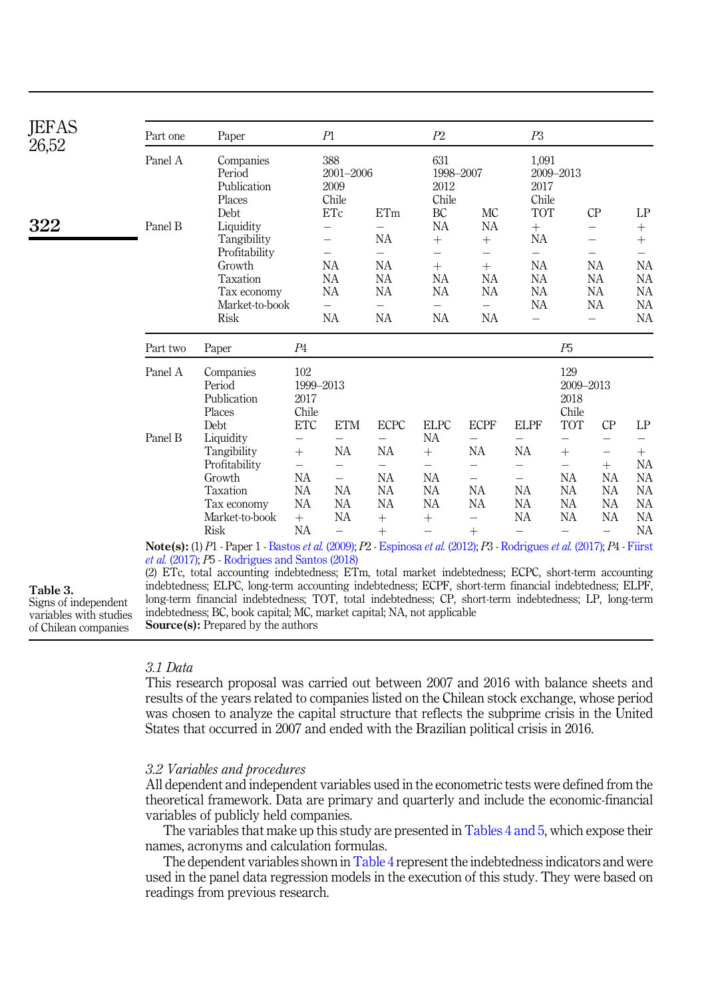<span id="page-5-0"></span>

| <b>JEFAS</b><br>26,52            | Part one | Paper                                                                                                                                                                                                                                                                                       |                         | P1                                           |                                | P2                                      |                                               | P3                                   |                                   |                          |                                |
|----------------------------------|----------|---------------------------------------------------------------------------------------------------------------------------------------------------------------------------------------------------------------------------------------------------------------------------------------------|-------------------------|----------------------------------------------|--------------------------------|-----------------------------------------|-----------------------------------------------|--------------------------------------|-----------------------------------|--------------------------|--------------------------------|
|                                  | Panel A  | Companies<br>Period<br>Publication<br>Places<br>Debt                                                                                                                                                                                                                                        |                         | 388<br>$2001 - 2006$<br>2009<br>Chile<br>ETc | ETm                            | 631<br>1998-2007<br>2012<br>Chile<br>BC | МC                                            | 1,091<br>2017<br>Chile<br><b>TOT</b> | 2009-2013                         | CP                       | LP                             |
| 322                              | Panel B  | Liquidity                                                                                                                                                                                                                                                                                   |                         | $\overline{\phantom{0}}$                     | $\equiv$                       | NA                                      | NA                                            | $+$                                  |                                   | $\qquad \qquad -$        | $^{+}$                         |
|                                  |          | Tangibility                                                                                                                                                                                                                                                                                 |                         | $\overline{\phantom{0}}$                     | NA                             | $+$                                     | $\! +$                                        | NА                                   |                                   |                          | $+$                            |
|                                  |          | Profitability<br>Growth                                                                                                                                                                                                                                                                     |                         | $\overline{\phantom{m}}$<br>NА               | $\equiv$<br>NA                 | $\equiv$<br>$^{+}$                      | $\overline{\phantom{0}}$<br>$^{+}$            | $\equiv$<br>NA                       |                                   | $\qquad \qquad -$<br>NA  | $\overline{\phantom{0}}$<br>NA |
|                                  |          | Taxation                                                                                                                                                                                                                                                                                    |                         | NА                                           | NA                             | NA                                      | NA                                            | NA                                   |                                   | NA                       | NA                             |
|                                  |          | Tax economy                                                                                                                                                                                                                                                                                 |                         | NА                                           | NA                             | NA                                      | <b>NA</b>                                     | <b>NA</b>                            |                                   | <b>NA</b>                | NA                             |
|                                  |          | Market-to-book                                                                                                                                                                                                                                                                              |                         |                                              | $\overline{\phantom{0}}$       |                                         | $\equiv$                                      | NA                                   |                                   | NA                       | NA                             |
|                                  |          | <b>Risk</b>                                                                                                                                                                                                                                                                                 |                         | <b>NA</b>                                    | <b>NA</b>                      | <b>NA</b>                               | <b>NA</b>                                     | $\overline{\phantom{0}}$             |                                   | $\overline{\phantom{0}}$ | NA                             |
|                                  | Part two | Paper                                                                                                                                                                                                                                                                                       | P <sub>4</sub>          |                                              |                                |                                         |                                               |                                      | P5                                |                          |                                |
|                                  | Panel A  | Companies<br>Period<br>Publication<br>Places                                                                                                                                                                                                                                                | 102<br>2017<br>Chile    | 1999-2013                                    |                                |                                         |                                               |                                      | 129<br>2009-2013<br>2018<br>Chile |                          |                                |
|                                  |          | Debt                                                                                                                                                                                                                                                                                        | ETC                     | <b>ETM</b>                                   | <b>ECPC</b>                    | <b>ELPC</b>                             | <b>ECPF</b>                                   | <b>ELPF</b>                          | <b>TOT</b>                        | CP                       | LP                             |
|                                  | Panel B  | Liquidity                                                                                                                                                                                                                                                                                   |                         | $\overline{\phantom{0}}$                     | $\overline{\phantom{0}}$       | <b>NA</b>                               | $\overline{\phantom{0}}$                      | $\overline{\phantom{0}}$             | —                                 | $\qquad \qquad -$        | $\qquad \qquad -$              |
|                                  |          | Tangibility                                                                                                                                                                                                                                                                                 | $+$                     | NA                                           | NA                             | $+$                                     | NА                                            | NA                                   | $^{+}$                            | $\qquad \qquad -$        | $^{+}$                         |
|                                  |          | Profitability<br>Growth                                                                                                                                                                                                                                                                     | $\qquad \qquad -$<br>NA | $\overline{\phantom{0}}$                     | $\qquad \qquad -$<br><b>NA</b> | NA                                      | $\overline{\phantom{0}}$<br>$\qquad \qquad -$ | $\overline{\phantom{0}}$             | $\overline{\phantom{0}}$<br>NA    | $^{+}$<br>NA             | NА<br>NA                       |
|                                  |          | Taxation                                                                                                                                                                                                                                                                                    | NA                      | NA                                           | NA                             | NA                                      | NA                                            | NA                                   | NA                                | NA                       | NA                             |
|                                  |          | Tax economy                                                                                                                                                                                                                                                                                 | NA                      | NA                                           | NA                             | NA                                      | NА                                            | NA                                   | NA                                | <b>NA</b>                | NA                             |
|                                  |          | Market-to-book                                                                                                                                                                                                                                                                              | $+$                     | NA                                           | $^{+}$                         |                                         | $\overline{\phantom{0}}$                      | <b>NA</b>                            | NA                                | <b>NA</b>                | <b>NA</b>                      |
|                                  |          | <b>Risk</b>                                                                                                                                                                                                                                                                                 | NA                      | $\overline{\phantom{0}}$                     | $+$                            |                                         | $+$                                           | $\equiv$                             |                                   | $=$                      | NA                             |
|                                  |          | Note(s): (1) P1 - Paper 1 - Bastos et al. (2009); P2 - Espinosa et al. (2012); P3 - Rodrigues et al. (2017); P4 - Fiirst<br><i>et al.</i> (2017); $P5$ - Rodrigues and Santos (2018)<br>(2) ETc, total accounting indebtedness; ETm, total market indebtedness; ECPC, short-term accounting |                         |                                              |                                |                                         |                                               |                                      |                                   |                          |                                |
| Table 3.<br>Signs of independent |          | indebtedness; ELPC, long-term accounting indebtedness; ECPF, short-term financial indebtedness; ELPF,<br>long-term financial indebtedness; TOT, total indebtedness; CP, short-term indebtedness; LP, long-term                                                                              |                         |                                              |                                |                                         |                                               |                                      |                                   |                          |                                |
| variables with studies           |          | indebtedness; BC, book capital; MC, market capital; NA, not applicable                                                                                                                                                                                                                      |                         |                                              |                                |                                         |                                               |                                      |                                   |                          |                                |
| of Chilean companies             |          | <b>Source(s):</b> Prepared by the authors                                                                                                                                                                                                                                                   |                         |                                              |                                |                                         |                                               |                                      |                                   |                          |                                |

of Chilean companies

# 3.1 Data

This research proposal was carried out between 2007 and 2016 with balance sheets and results of the years related to companies listed on the Chilean stock exchange, whose period was chosen to analyze the capital structure that reflects the subprime crisis in the United States that occurred in 2007 and ended with the Brazilian political crisis in 2016.

# 3.2 Variables and procedures

All dependent and independent variables used in the econometric tests were defined from the theoretical framework. Data are primary and quarterly and include the economic-financial variables of publicly held companies.

The variables that make up this study are presented in [Tables 4 and 5](#page-6-0), which expose their names, acronyms and calculation formulas.

The dependent variables shown in [Table 4](#page-6-0) represent the indebtedness indicators and were used in the panel data regression models in the execution of this study. They were based on readings from previous research.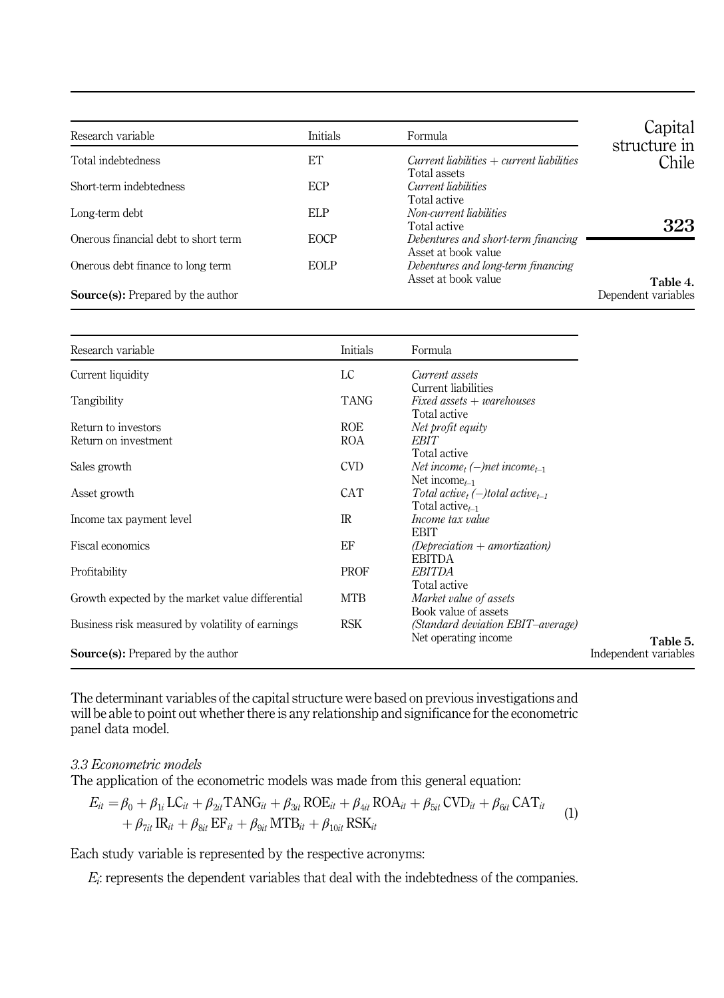<span id="page-6-0"></span>

| Research variable                        | Initials    | Formula                                                     | Capital<br>structure in |
|------------------------------------------|-------------|-------------------------------------------------------------|-------------------------|
| Total indebtedness                       | ET          | $Current$ liabilities + current liabilities<br>Total assets | Chile                   |
| Short-term indebtedness                  | <b>ECP</b>  | Current liabilities<br>Total active                         |                         |
| Long-term debt                           | ELP         | Non-current liabilities<br>Total active                     | 323                     |
| Onerous financial debt to short term     | <b>EOCP</b> | Debentures and short-term financing<br>Asset at book value  |                         |
| Onerous debt finance to long term        | <b>EOLP</b> | Debentures and long-term financing<br>Asset at book value   | Table 4.                |
| <b>Source(s):</b> Prepared by the author |             |                                                             | Dependent variables     |

| Research variable                                | Initials    | Formula                                                                                               |                       |
|--------------------------------------------------|-------------|-------------------------------------------------------------------------------------------------------|-----------------------|
| Current liquidity                                | LC          | Current assets                                                                                        |                       |
| Tangibility                                      | <b>TANG</b> | Current liabilities<br>$Fixed$ assets $+$ warehouses<br>Total active                                  |                       |
| Return to investors                              | <b>ROE</b>  | Net profit equity                                                                                     |                       |
| Return on investment                             | ROA         | EBIT                                                                                                  |                       |
| Sales growth                                     | CVD         | Total active<br>Net income, $(-)$ net income <sub>t-1</sub><br>Net income <sub><math>t-1</math></sub> |                       |
| Asset growth                                     | <b>CAT</b>  | Total active, $(-)$ total active <sub>t-1</sub><br>Total active $t_{-1}$                              |                       |
| Income tax payment level                         | $_{\rm IR}$ | Income tax value<br><b>EBIT</b>                                                                       |                       |
| Fiscal economics                                 | EF          | $(Deprecision + amortization)$<br><b>EBITDA</b>                                                       |                       |
| Profitability                                    | <b>PROF</b> | <b>EBITDA</b><br>Total active                                                                         |                       |
| Growth expected by the market value differential | MTB         | Market value of assets<br>Book value of assets                                                        |                       |
| Business risk measured by volatility of earnings | <b>RSK</b>  | (Standard deviation EBIT-average)<br>Net operating income.                                            | Table 5.              |
| <b>Source(s):</b> Prepared by the author         |             |                                                                                                       | Independent variables |

The determinant variables of the capital structure were based on previous investigations and will be able to point out whether there is any relationship and significance for the econometric panel data model.

# 3.3 Econometric models

The application of the econometric models was made from this general equation:

$$
E_{it} = \beta_0 + \beta_{1i} LC_{it} + \beta_{2it} TANG_{it} + \beta_{3it} ROE_{it} + \beta_{4it} ROA_{it} + \beta_{5it} CVD_{it} + \beta_{6it} CAT_{it} + \beta_{7it} IR_{it} + \beta_{8it} EF_{it} + \beta_{9it} MTB_{it} + \beta_{10it} RSK_{it}
$$
\n(1)

Each study variable is represented by the respective acronyms:

 $E_i$ : represents the dependent variables that deal with the indebtedness of the companies.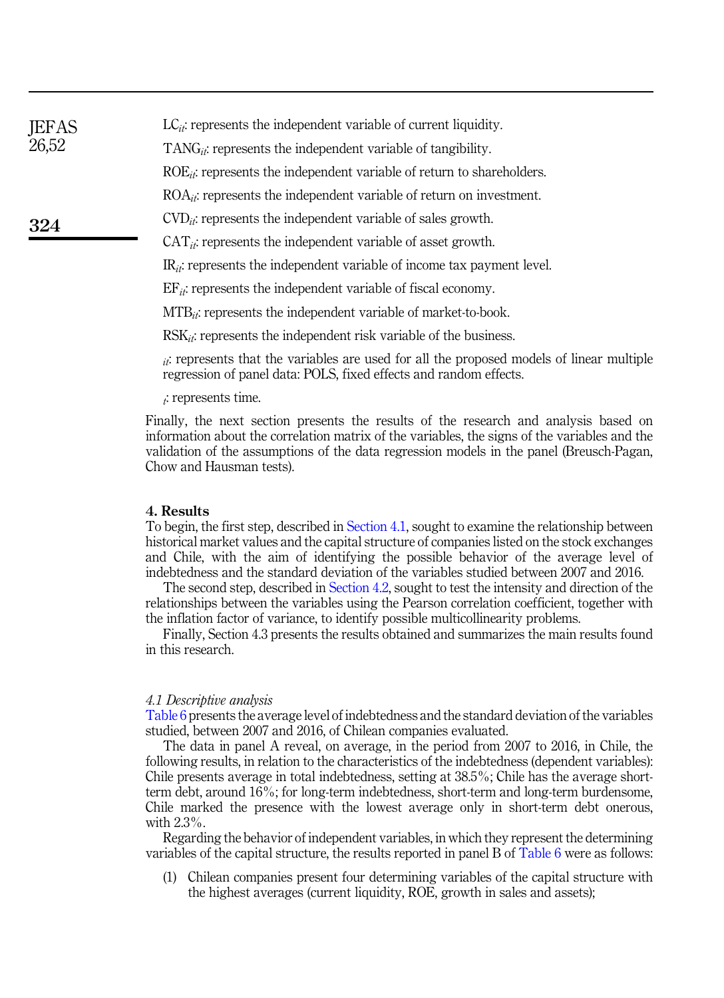| <b>JEFAS</b> | $LC_{it}$ : represents the independent variable of current liquidity.       |
|--------------|-----------------------------------------------------------------------------|
| 26,52        | $TANG_{it}$ ; represents the independent variable of tangibility.           |
|              | $ROE_{it}$ : represents the independent variable of return to shareholders. |
|              | $ROA_{ii}$ : represents the independent variable of return on investment.   |
| 324          | $CVD_{it}$ : represents the independent variable of sales growth.           |
|              | $CAT_{ii}$ : represents the independent variable of asset growth.           |

 $IR_{it}$ : represents the independent variable of income tax payment level.

 $EF_{it}$ : represents the independent variable of fiscal economy.

 $MTB_{it}$ : represents the independent variable of market-to-book.

 $RSK_{ik}$ : represents the independent risk variable of the business.

 $ii$ : represents that the variables are used for all the proposed models of linear multiple regression of panel data: POLS, fixed effects and random effects.

 $\ddot{\cdot}$ : represents time.

Finally, the next section presents the results of the research and analysis based on information about the correlation matrix of the variables, the signs of the variables and the validation of the assumptions of the data regression models in the panel (Breusch-Pagan, Chow and Hausman tests).

## <span id="page-7-0"></span>4. Results

To begin, the first step, described in [Section 4.1,](#page-7-1) sought to examine the relationship between historical market values and the capital structure of companies listed on the stock exchanges and Chile, with the aim of identifying the possible behavior of the average level of indebtedness and the standard deviation of the variables studied between 2007 and 2016.

The second step, described in [Section 4.2,](#page-8-0) sought to test the intensity and direction of the relationships between the variables using the Pearson correlation coefficient, together with the inflation factor of variance, to identify possible multicollinearity problems.

Finally, Section 4.3 presents the results obtained and summarizes the main results found in this research.

#### <span id="page-7-1"></span>4.1 Descriptive analysis

[Table 6](#page-8-1) presents the average level of indebtedness and the standard deviation of the variables studied, between 2007 and 2016, of Chilean companies evaluated.

The data in panel A reveal, on average, in the period from 2007 to 2016, in Chile, the following results, in relation to the characteristics of the indebtedness (dependent variables): Chile presents average in total indebtedness, setting at 38.5%; Chile has the average shortterm debt, around 16%; for long-term indebtedness, short-term and long-term burdensome, Chile marked the presence with the lowest average only in short-term debt onerous, with 2.3%.

Regarding the behavior of independent variables, in which they represent the determining variables of the capital structure, the results reported in panel B of [Table 6](#page-8-1) were as follows:

(1) Chilean companies present four determining variables of the capital structure with the highest averages (current liquidity, ROE, growth in sales and assets);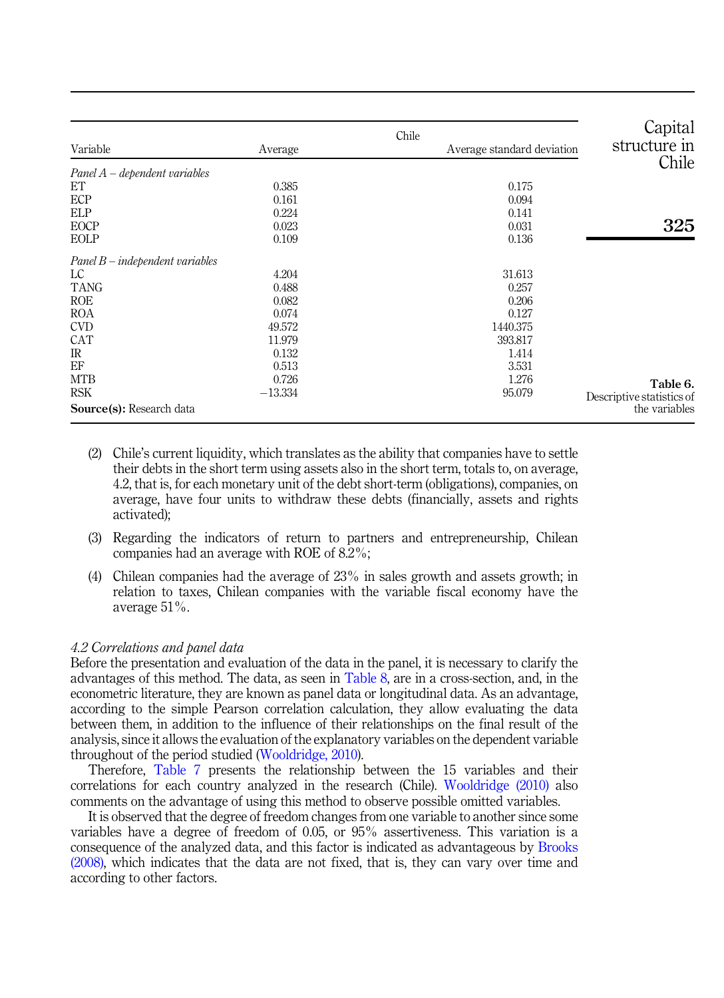<span id="page-8-1"></span>

| Variable                        | Average   | Chile | Average standard deviation | Capital<br>structure in<br>Chile |
|---------------------------------|-----------|-------|----------------------------|----------------------------------|
| $Panel A-dependent variables$   |           |       |                            |                                  |
| ET                              | 0.385     |       | 0.175                      |                                  |
| ECP                             | 0.161     |       | 0.094                      |                                  |
| <b>ELP</b>                      | 0.224     |       | 0.141                      |                                  |
| EOCP                            | 0.023     |       | 0.031                      | 325                              |
| EOLP                            | 0.109     |       | 0.136                      |                                  |
| $Panel B-independent variables$ |           |       |                            |                                  |
| LC                              | 4.204     |       | 31.613                     |                                  |
| <b>TANG</b>                     | 0.488     |       | 0.257                      |                                  |
| <b>ROE</b>                      | 0.082     |       | 0.206                      |                                  |
| <b>ROA</b>                      | 0.074     |       | 0.127                      |                                  |
| <b>CVD</b>                      | 49.572    |       | 1440.375                   |                                  |
| CAT                             | 11.979    |       | 393.817                    |                                  |
| $_{\rm IR}$                     | 0.132     |       | 1.414                      |                                  |
| EF                              | 0.513     |       | 3.531                      |                                  |
| <b>MTB</b>                      | 0.726     |       | 1.276                      | Table 6.                         |
| <b>RSK</b>                      | $-13.334$ |       | 95.079                     | Descriptive statistics of        |
| Source(s): Research data        |           |       |                            | the variables                    |

- (2) Chile's current liquidity, which translates as the ability that companies have to settle their debts in the short term using assets also in the short term, totals to, on average, 4.2, that is, for each monetary unit of the debt short-term (obligations), companies, on average, have four units to withdraw these debts (financially, assets and rights activated);
- (3) Regarding the indicators of return to partners and entrepreneurship, Chilean companies had an average with ROE of 8.2%;
- (4) Chilean companies had the average of 23% in sales growth and assets growth; in relation to taxes, Chilean companies with the variable fiscal economy have the average 51%.

## <span id="page-8-0"></span>4.2 Correlations and panel data

Before the presentation and evaluation of the data in the panel, it is necessary to clarify the advantages of this method. The data, as seen in [Table 8,](#page-10-0) are in a cross-section, and, in the econometric literature, they are known as panel data or longitudinal data. As an advantage, according to the simple Pearson correlation calculation, they allow evaluating the data between them, in addition to the influence of their relationships on the final result of the analysis, since it allows the evaluation of the explanatory variables on the dependent variable throughout of the period studied ([Wooldridge, 2010\)](#page-15-12).

Therefore, [Table 7](#page-9-0) presents the relationship between the 15 variables and their correlations for each country analyzed in the research (Chile). [Wooldridge \(2010\)](#page-15-12) also comments on the advantage of using this method to observe possible omitted variables.

It is observed that the degree of freedom changes from one variable to another since some variables have a degree of freedom of 0.05, or 95% assertiveness. This variation is a consequence of the analyzed data, and this factor is indicated as advantageous by [Brooks](#page-13-16) [\(2008\),](#page-13-16) which indicates that the data are not fixed, that is, they can vary over time and according to other factors.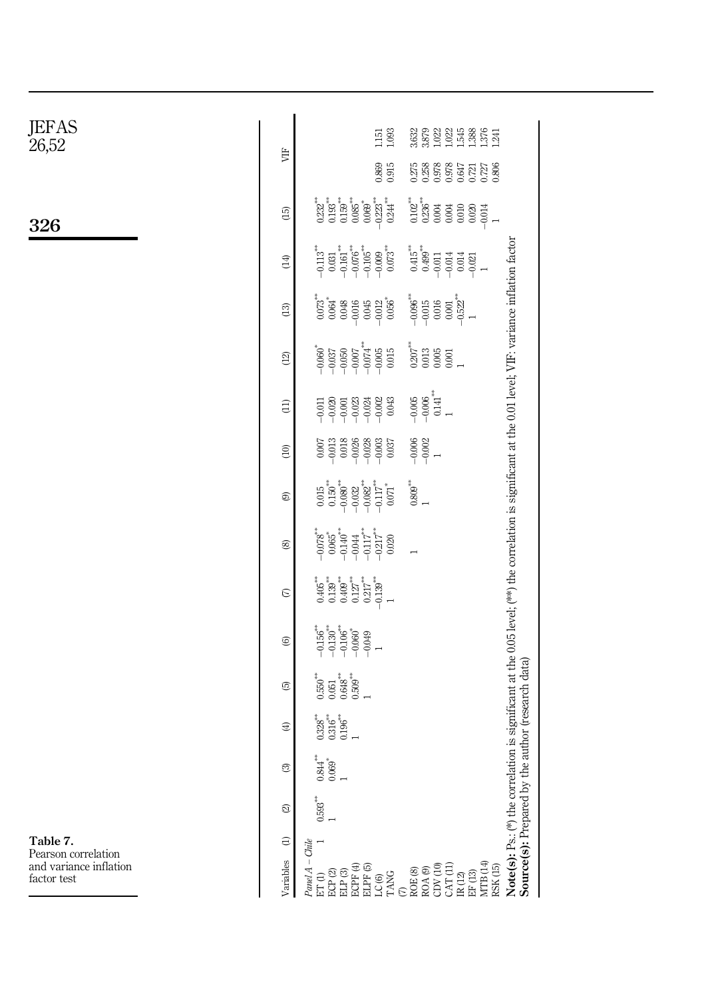<span id="page-9-0"></span>

| $\rm{JEFAS}\rm_{26,52}$               | УË              | $\begin{array}{c} 22 \\ 21 \\ 23 \\ 14 \\ 25 \\ 15 \\ 16 \\ 17 \\ 18 \\ 19 \\ 11 \\ 14 \\ 1 \end{array}$<br>1.093<br>3.632<br>3.879<br>1.151                                                                                                                                                                                                                                                                                                                                                                                                       |
|---------------------------------------|-----------------|----------------------------------------------------------------------------------------------------------------------------------------------------------------------------------------------------------------------------------------------------------------------------------------------------------------------------------------------------------------------------------------------------------------------------------------------------------------------------------------------------------------------------------------------------|
|                                       |                 | 0.869<br>0.915<br>$0.275$<br>$0.258$<br>0.978<br>0.647<br>$0.721$<br>$0.806$<br>$0.806$                                                                                                                                                                                                                                                                                                                                                                                                                                                            |
| 326                                   | $\overline{15}$ | $0.193^{***}\n0.159^{***}$<br>$0.085^{\ast\ast}$<br>$-0.223$<br>$-0.244$<br>$0.102***$<br>$0.236***$<br>$0.232***$<br>$0.069^\ast$<br>0.004<br>$0.010\,$<br>$0.020\,$<br>$-0.014$                                                                                                                                                                                                                                                                                                                                                                  |
|                                       | (14)            | $-0.161\overset{***}{ }$<br>$-0.076$ <sup>***</sup><br>$0.415^{**}$<br>$0.499^{**}$<br>$-0.105***$<br>$0.073***$<br>$-0.113$ <sup>***</sup><br>$-0.009$<br>$\!0.031$<br>$-0.011$<br>$-0.014$<br>$-0.014$                                                                                                                                                                                                                                                                                                                                           |
|                                       | (13)            | $-0.522***$<br>$-0.096$ <sup>***</sup><br>-0.015<br>$0.073$ <sup>***</sup><br>$0.056^{*}$<br>$0.048$<br>$0.045$<br>$-0.012$<br>$\begin{array}{c} 0.016 \\ 0.001 \end{array}$<br>$-0.016$<br>$\rightarrow$                                                                                                                                                                                                                                                                                                                                          |
|                                       | (12)            | $-0.050$<br>$-0.007$<br>$-0.074$<br>$0.207^{***}$<br>0.013<br>$-0.060$ <sup>*</sup><br>$-0.005$<br>$0.015$<br>$\begin{array}{c} 0.005 \\ 0.001 \end{array}$                                                                                                                                                                                                                                                                                                                                                                                        |
|                                       | $\overline{1}$  | $0.141^{\ast\ast}$<br>$-0.005$<br>$-0.006$<br>$-0.002$<br>0.043<br>$-0.020$<br>$-0.001$<br>$-0.023$<br>$-0.024$<br>$-0.011$<br>$\overline{a}$                                                                                                                                                                                                                                                                                                                                                                                                      |
|                                       | $\widehat{E}$   | $-0.006$<br>$-0.002$<br>$-0.018$<br>$-0.007$<br>$-0.028$<br>$-0.003$<br>0.037                                                                                                                                                                                                                                                                                                                                                                                                                                                                      |
|                                       | ම               | Note(s): Ps.: (*) the correlation is significant at the 0.05 level; (**) the correlation is significant at the 0.01 level; VIF: variance inflation factor<br>Source(s): Prepared by the author (research data)<br>$\begin{smallmatrix} 0.809^{***}\ 1 \end{smallmatrix}$<br>$\begin{array}{c} 0.015 \\ 0.150 \\ -0.080 \\ -0.032 \\ -0.082 \\ \end{array}$<br>$-0.117^{**}$<br>0.071                                                                                                                                                               |
|                                       | $^{\circledR}$  | $\begin{array}{c} -0.078 \\ -0.065 \\ -0.140 \\ -0.044 \\ \end{array}$<br>$-0.117^{**}$<br>-0.217<br>$0.020\,$                                                                                                                                                                                                                                                                                                                                                                                                                                     |
|                                       | $\epsilon$      | $\begin{array}{c} 465 \\ -139 \\ -139 \\ -127 \\ -127 \end{array}$<br>$0.217^{**}$<br>$-0.139***$<br>$\overline{a}$                                                                                                                                                                                                                                                                                                                                                                                                                                |
|                                       | ©               | $-0.156$ <sup>***</sup><br>-0.130 <sup>**</sup><br>$-0.106$ <sup>**</sup><br>-0.060 <sup>*</sup><br>$-0.049$                                                                                                                                                                                                                                                                                                                                                                                                                                       |
|                                       | ©               | $\begin{array}{c} 0.550^{**} \\ 0.051 \\ 0.648^{**} \\ 0.509^{**} \end{array}$                                                                                                                                                                                                                                                                                                                                                                                                                                                                     |
|                                       | $\bigoplus$     | $0.196^{***}$<br>$0.328^{***}$<br>$0.316^{***}$                                                                                                                                                                                                                                                                                                                                                                                                                                                                                                    |
|                                       | ල               | $\frac{0.844}{0.069}$                                                                                                                                                                                                                                                                                                                                                                                                                                                                                                                              |
|                                       | ଛ               | $0.593$ <sup>***</sup>                                                                                                                                                                                                                                                                                                                                                                                                                                                                                                                             |
| Table 7.<br>Pearson correlation       | $\in$           | $C$ hile                                                                                                                                                                                                                                                                                                                                                                                                                                                                                                                                           |
| and variance inflation<br>factor test | Variables       | $\begin{array}{l} A_{end}A_{1}\\ \begin{array}{l} \begin{array}{l} A_{1} \\ \vdots \\ B_{r} \end{array} \\ \begin{array}{l} \begin{array}{l} \begin{array}{l} \begin{array}{l} \begin{array}{l} \end{array} \\ \end{array} \\ \end{array} \\ \begin{array}{l} \begin{array}{l} \end{array} \\ \end{array} \\ \begin{array}{l} \end{array} \\ \begin{array}{l} \end{array} \\ \begin{array}{l} \end{array} \\ \begin{array}{l} \end{array} \\ \begin{array}{l} \end{array} \\ \end{array} \\ \begin{array}{l} \end{array} \\ \begin{array}{l} \end$ |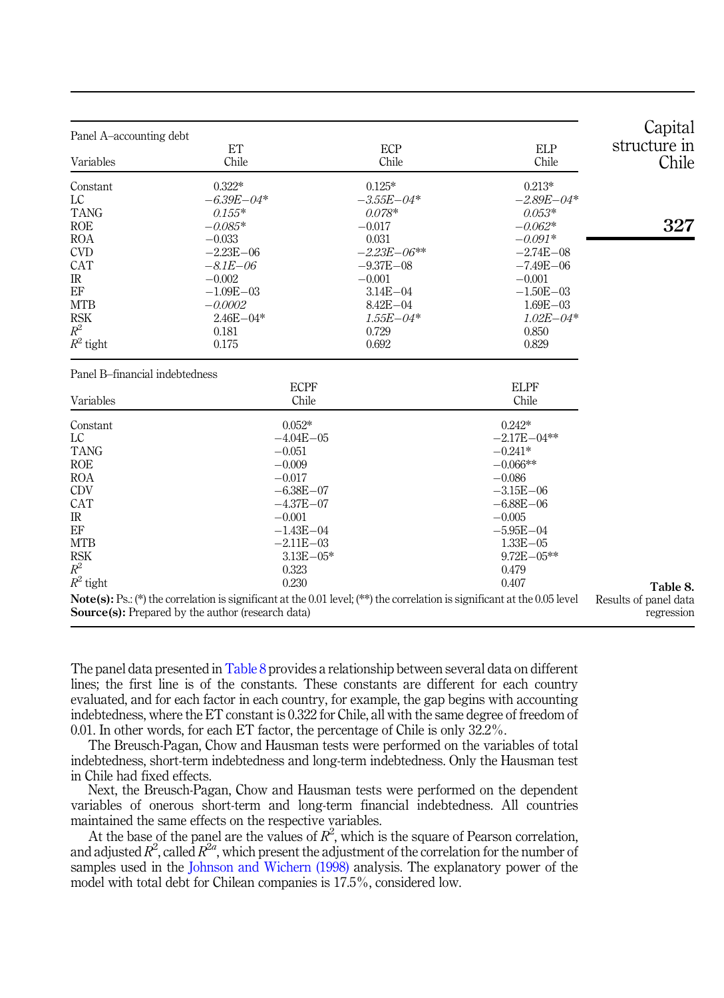<span id="page-10-0"></span>

| Panel A-accounting debt        |                                                          |                                                                                                                                  |                     | Capital<br>structure in             |
|--------------------------------|----------------------------------------------------------|----------------------------------------------------------------------------------------------------------------------------------|---------------------|-------------------------------------|
| Variables                      | ET<br>Chile                                              | ECP<br>Chile                                                                                                                     | <b>ELP</b><br>Chile | Chile                               |
| Constant                       | $0.322*$                                                 | $0.125*$                                                                                                                         | $0.213*$            |                                     |
| LC                             | $-6.39E - 04*$                                           | $-3.55E - 04*$                                                                                                                   | $-2.89E - 04*$      |                                     |
| <b>TANG</b>                    | $0.155*$                                                 | $0.078*$                                                                                                                         | $0.053*$            |                                     |
| <b>ROE</b>                     | $-0.085*$                                                | $-0.017$                                                                                                                         | $-0.062*$           | 327                                 |
| <b>ROA</b>                     | $-0.033$                                                 | 0.031                                                                                                                            | $-0.091*$           |                                     |
| <b>CVD</b>                     | $-2.23E - 06$                                            | $-2.23E - 06**$                                                                                                                  | $-2.74E - 08$       |                                     |
| CAT                            | $-8.1E - 06$                                             | $-9.37E - 08$                                                                                                                    | $-7.49E - 06$       |                                     |
| $_{\rm IR}$                    | $-0.002$                                                 | $-0.001$                                                                                                                         | $-0.001$            |                                     |
| EF                             | $-1.09E - 03$                                            | $3.14E - 04$                                                                                                                     | $-1.50E - 03$       |                                     |
| <b>MTB</b>                     | $-0.0002$                                                | $8.42E - 04$                                                                                                                     | $1.69E - 03$        |                                     |
| <b>RSK</b>                     | $2.46E - 04*$                                            | $1.55E - 04*$                                                                                                                    | $1.02E - 04*$       |                                     |
| $R^2$                          | 0.181                                                    | 0.729                                                                                                                            | 0.850               |                                     |
| $R^2$ tight                    | 0.175                                                    | 0.692                                                                                                                            | 0.829               |                                     |
| Panel B-financial indebtedness |                                                          |                                                                                                                                  |                     |                                     |
|                                | <b>ECPF</b>                                              |                                                                                                                                  | <b>ELPF</b>         |                                     |
| Variables                      | Chile                                                    |                                                                                                                                  | Chile               |                                     |
| Constant                       | $0.052*$                                                 |                                                                                                                                  | $0.242*$            |                                     |
| LC                             | $-4.04E - 05$                                            |                                                                                                                                  | $-2.17E - 04**$     |                                     |
| <b>TANG</b>                    | $-0.051$                                                 |                                                                                                                                  | $-0.241*$           |                                     |
| <b>ROE</b>                     | $-0.009$                                                 |                                                                                                                                  | $-0.066**$          |                                     |
| <b>ROA</b>                     | $-0.017$                                                 |                                                                                                                                  | $-0.086$            |                                     |
| <b>CDV</b>                     | $-6.38E - 07$                                            |                                                                                                                                  | $-3.15E - 06$       |                                     |
| CAT                            | $-4.37E - 07$                                            |                                                                                                                                  | $-6.88E - 06$       |                                     |
| $_{\rm IR}$                    | $-0.001$                                                 |                                                                                                                                  | $-0.005$            |                                     |
| EF                             | $-1.43E - 04$                                            |                                                                                                                                  | $-5.95E - 04$       |                                     |
| <b>MTB</b>                     | $-2.11E - 03$                                            |                                                                                                                                  | $1.33E - 05$        |                                     |
| <b>RSK</b>                     | $3.13E - 05*$                                            |                                                                                                                                  | $9.72E - 05**$      |                                     |
| $R^2$                          | 0.323                                                    |                                                                                                                                  | 0.479               |                                     |
| $R^2$ tight                    | 0.230                                                    |                                                                                                                                  | 0.407               | Table 8.                            |
|                                | <b>Source(s):</b> Prepared by the author (research data) | <b>Note(s):</b> Ps.: (*) the correlation is significant at the 0.01 level; (**) the correlation is significant at the 0.05 level |                     | Results of panel data<br>regression |

The panel data presented in Table 8 provides a relationship between several data on different lines; the first line is of the constants. These constants are different for each country evaluated, and for each factor in each country, for example, the gap begins with accounting indebtedness, where the ET constant is 0.322 for Chile, all with the same degree of freedom of 0.01. In other words, for each ET factor, the percentage of Chile is only 32.2%.

The Breusch-Pagan, Chow and Hausman tests were performed on the variables of total indebtedness, short-term indebtedness and long-term indebtedness. Only the Hausman test in Chile had fixed effects.

Next, the Breusch-Pagan, Chow and Hausman tests were performed on the dependent variables of onerous short-term and long-term financial indebtedness. All countries maintained the same effects on the respective variables.

At the base of the panel are the values of  $R^2$ , which is the square of Pearson correlation, and adjusted  $R^2$ , called  $R^{2a}$ , which present the adjustment of the correlation for the number of samples used in the [Johnson and Wichern \(1998\)](#page-13-17) analysis. The explanatory power of the model with total debt for Chilean companies is 17.5%, considered low.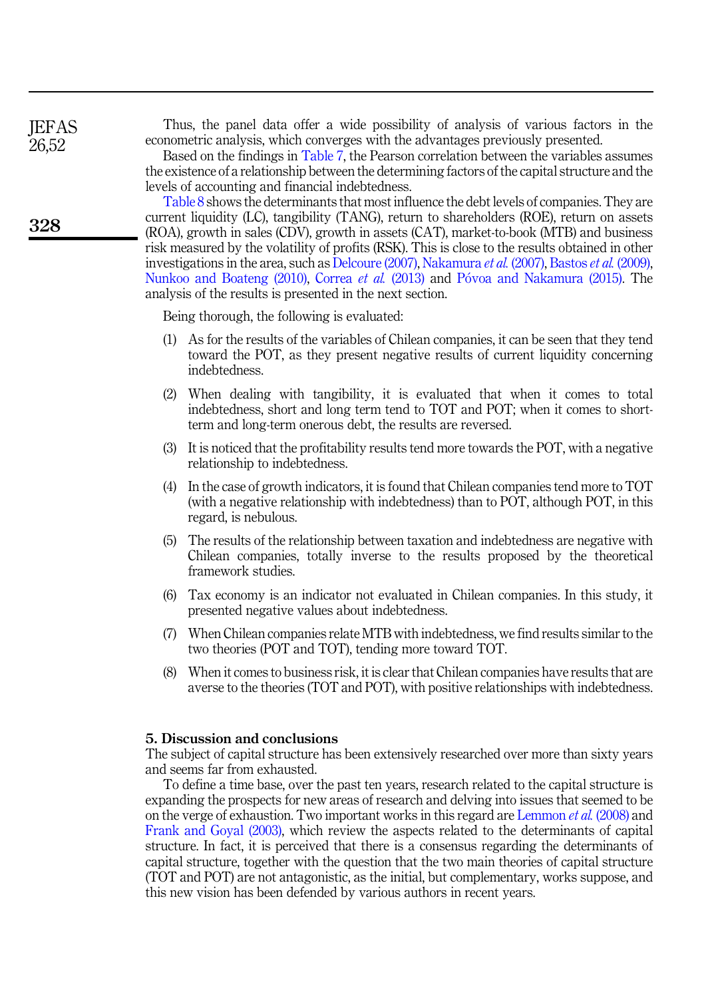Thus, the panel data offer a wide possibility of analysis of various factors in the econometric analysis, which converges with the advantages previously presented.

Based on the findings in [Table 7,](#page-9-0) the Pearson correlation between the variables assumes the existence of a relationship between the determining factors of the capital structure and the levels of accounting and financial indebtedness.

[Table 8](#page-10-0) shows the determinants that most influence the debt levels of companies. They are current liquidity (LC), tangibility (TANG), return to shareholders (ROE), return on assets (ROA), growth in sales (CDV), growth in assets (CAT), market-to-book (MTB) and business risk measured by the volatility of profits (RSK). This is close to the results obtained in other investigations in the area, such as [Delcoure \(2007\)](#page-13-18), [Nakamura](#page-14-12) et al. (2007), [Bastos](#page-13-1) et al. (2009), [Nunkoo and Boateng \(2010\)](#page-14-14), [Correa](#page-13-15) et al. (2013) and [P](#page-14-15)óvoa and Nakamura (2015). The analysis of the results is presented in the next section.

Being thorough, the following is evaluated:

- (1) As for the results of the variables of Chilean companies, it can be seen that they tend toward the POT, as they present negative results of current liquidity concerning indebtedness.
- (2) When dealing with tangibility, it is evaluated that when it comes to total indebtedness, short and long term tend to TOT and POT; when it comes to shortterm and long-term onerous debt, the results are reversed.
- (3) It is noticed that the profitability results tend more towards the POT, with a negative relationship to indebtedness.
- (4) In the case of growth indicators, it is found that Chilean companies tend more to TOT (with a negative relationship with indebtedness) than to POT, although POT, in this regard, is nebulous.
- (5) The results of the relationship between taxation and indebtedness are negative with Chilean companies, totally inverse to the results proposed by the theoretical framework studies.
- (6) Tax economy is an indicator not evaluated in Chilean companies. In this study, it presented negative values about indebtedness.
- (7) When Chilean companies relate MTB with indebtedness, we find results similar to the two theories (POT and TOT), tending more toward TOT.
- (8) When it comes to business risk, it is clear that Chilean companies have results that are averse to the theories (TOT and POT), with positive relationships with indebtedness.

### <span id="page-11-0"></span>5. Discussion and conclusions

The subject of capital structure has been extensively researched over more than sixty years and seems far from exhausted.

To define a time base, over the past ten years, research related to the capital structure is expanding the prospects for new areas of research and delving into issues that seemed to be on the verge of exhaustion. Two important works in this regard are [Lemmon](#page-14-16) et al. (2008) and [Frank and Goyal \(2003\)](#page-13-19), which review the aspects related to the determinants of capital structure. In fact, it is perceived that there is a consensus regarding the determinants of capital structure, together with the question that the two main theories of capital structure (TOT and POT) are not antagonistic, as the initial, but complementary, works suppose, and this new vision has been defended by various authors in recent years.

328

**IEFAS** 26,52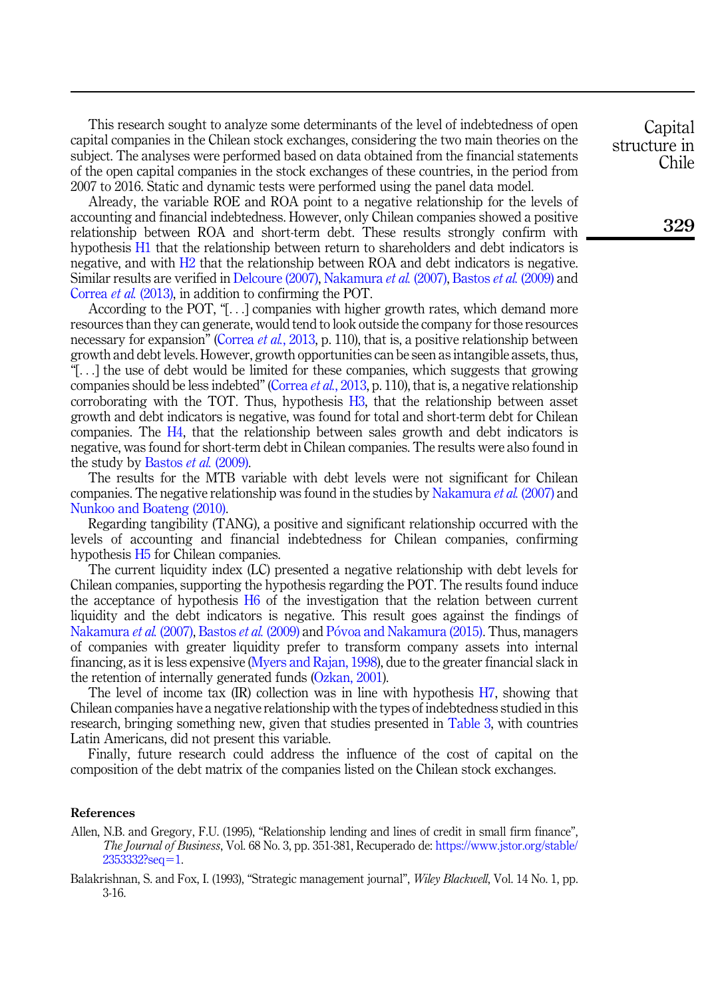This research sought to analyze some determinants of the level of indebtedness of open capital companies in the Chilean stock exchanges, considering the two main theories on the subject. The analyses were performed based on data obtained from the financial statements of the open capital companies in the stock exchanges of these countries, in the period from 2007 to 2016. Static and dynamic tests were performed using the panel data model.

Already, the variable ROE and ROA point to a negative relationship for the levels of accounting and financial indebtedness. However, only Chilean companies showed a positive relationship between ROA and short-term debt. These results strongly confirm with hypothesis [H1](#page-3-0) that the relationship between return to shareholders and debt indicators is negative, and with [H2](#page-3-1) that the relationship between ROA and debt indicators is negative. Similar results are verified in [Delcoure \(2007\),](#page-13-18) [Nakamura](#page-14-12) et al. (2007), [Bastos](#page-13-1) et al. (2009) and [Correa](#page-13-15) et al. (2013), in addition to confirming the POT.

According to the POT, "[...] companies with higher growth rates, which demand more resources than they can generate, would tend to look outside the company for those resources necessary for expansion" [\(Correa](#page-13-15) *et al.*, 2013, p. 110), that is, a positive relationship between growth and debt levels. However, growth opportunities can be seen as intangible assets, thus, "[...] the use of debt would be limited for these companies, which suggests that growing companies should be less indebted" ([Correa](#page-13-15) et al., 2013, p. 110), that is, a negative relationship corroborating with the TOT. Thus, hypothesis [H3,](#page-3-2) that the relationship between asset growth and debt indicators is negative, was found for total and short-term debt for Chilean companies. The [H4,](#page-3-3) that the relationship between sales growth and debt indicators is negative, was found for short-term debt in Chilean companies. The results were also found in the study by [Bastos](#page-13-1) *et al.* (2009).

The results for the MTB variable with debt levels were not significant for Chilean companies. The negative relationship was found in the studies by [Nakamura](#page-14-12) et al. (2007) and [Nunkoo and Boateng \(2010\).](#page-14-14)

Regarding tangibility (TANG), a positive and significant relationship occurred with the levels of accounting and financial indebtedness for Chilean companies, confirming hypothesis [H5](#page-3-4) for Chilean companies.

The current liquidity index (LC) presented a negative relationship with debt levels for Chilean companies, supporting the hypothesis regarding the POT. The results found induce the acceptance of hypothesis [H6](#page-3-5) of the investigation that the relation between current liquidity and the debt indicators is negative. This result goes against the findings of [Nakamura](#page-14-12) *et al.* (2007), [Bastos](#page-13-1) *et al.* (2009) and [P](#page-14-15)óvoa and Nakamura (2015). Thus, managers of companies with greater liquidity prefer to transform company assets into internal financing, as it is less expensive [\(Myers and Rajan, 1998\)](#page-14-17), due to the greater financial slack in the retention of internally generated funds [\(Ozkan, 2001\)](#page-14-18).

The level of income tax (IR) collection was in line with hypothesis [H7](#page-4-1), showing that Chilean companies have a negative relationship with the types of indebtedness studied in this research, bringing something new, given that studies presented in [Table 3,](#page-5-0) with countries Latin Americans, did not present this variable.

Finally, future research could address the influence of the cost of capital on the composition of the debt matrix of the companies listed on the Chilean stock exchanges.

# References

<span id="page-12-1"></span>Allen, N.B. and Gregory, F.U. (1995), "Relationship lending and lines of credit in small firm finance", The Journal of Business, Vol. 68 No. 3, pp. 351-381, Recuperado de: [https://www.jstor.org/stable/](https://www.jstor.org/stable/2353332?seq=1)  $2353332?seq = 1.$  $2353332?seq = 1.$  $2353332?seq = 1.$  $2353332?seq = 1.$ 

<span id="page-12-0"></span>Balakrishnan, S. and Fox, I. (1993), "Strategic management journal", Wiley Blackwell, Vol. 14 No. 1, pp. 3-16.

**Capital** structure in Chile

329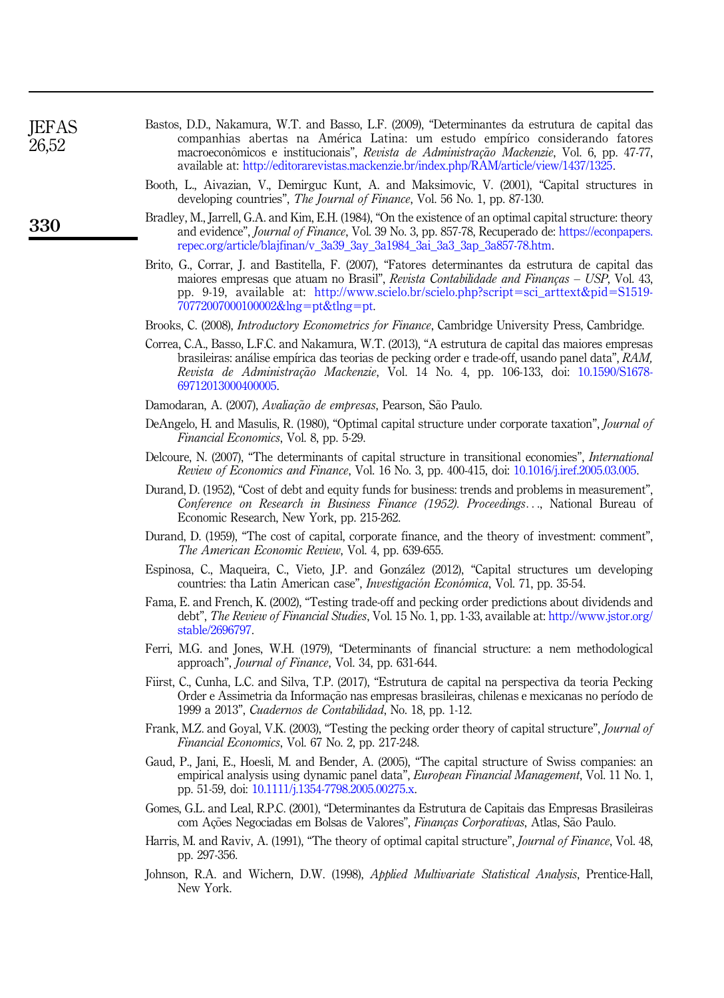<span id="page-13-19"></span><span id="page-13-18"></span><span id="page-13-17"></span><span id="page-13-16"></span><span id="page-13-15"></span><span id="page-13-14"></span><span id="page-13-13"></span><span id="page-13-12"></span><span id="page-13-11"></span><span id="page-13-10"></span><span id="page-13-9"></span><span id="page-13-8"></span><span id="page-13-7"></span><span id="page-13-6"></span><span id="page-13-5"></span><span id="page-13-4"></span><span id="page-13-3"></span><span id="page-13-2"></span><span id="page-13-1"></span><span id="page-13-0"></span>

| <b>JEFAS</b><br>26,52 | Bastos, D.D., Nakamura, W.T. and Basso, L.F. (2009), "Determinantes da estrutura de capital das<br>companhias abertas na América Latina: um estudo empírico considerando fatores<br>macroeconômicos e institucionais", Revista de Administração Mackenzie, Vol. 6, pp. 47-77,<br>available at: http://editorarevistas.mackenzie.br/index.php/RAM/article/view/1437/1325. |
|-----------------------|--------------------------------------------------------------------------------------------------------------------------------------------------------------------------------------------------------------------------------------------------------------------------------------------------------------------------------------------------------------------------|
|                       | Booth, L., Aivazian, V., Demirguc Kunt, A. and Maksimovic, V. (2001), "Capital structures in<br>developing countries", <i>The Journal of Finance</i> , Vol. 56 No. 1, pp. 87-130.                                                                                                                                                                                        |
| 330                   | Bradley, M., Jarrell, G.A. and Kim, E.H. (1984), "On the existence of an optimal capital structure: theory<br>and evidence", <i>Journal of Finance</i> , Vol. 39 No. 3, pp. 857-78, Recuperado de: https://econpapers.<br>repec.org/article/blajfinan/v_3a39_3ay_3a1984_3ai_3a3_3ap_3a857-78.htm.                                                                        |
|                       | Brito, G., Corrar, J. and Bastitella, F. (2007), "Fatores determinantes da estrutura de capital das<br>maiores empresas que atuam no Brasil", Revista Contabilidade and Finanças – USP, Vol. 43,<br>pp. 9-19, available at: http://www.scielo.br/scielo.php?script=sci_arttext&pid=S1519-<br>70772007000100002&lng=pt&tlng=pt.                                           |
|                       | Brooks, C. (2008), <i>Introductory Econometrics for Finance</i> , Cambridge University Press, Cambridge.                                                                                                                                                                                                                                                                 |
|                       | Correa, C.A., Basso, L.F.C. and Nakamura, W.T. (2013), "A estrutura de capital das maiores empresas<br>brasileiras: análise empírica das teorias de pecking order e trade-off, usando panel data", RAM,<br>Revista de Administração Mackenzie, Vol. 14 No. 4, pp. 106-133, doi: 10.1590/S1678-<br>69712013000400005.                                                     |
|                       | Damodaran, A. (2007), Avaliação de empresas, Pearson, São Paulo.                                                                                                                                                                                                                                                                                                         |
|                       | DeAngelo, H. and Masulis, R. (1980), "Optimal capital structure under corporate taxation", <i>Journal of</i><br><i>Financial Economics</i> , Vol. 8, pp. 5-29.                                                                                                                                                                                                           |
|                       | Delcoure, N. (2007), "The determinants of capital structure in transitional economies", <i>International</i><br>Review of Economics and Finance, Vol. 16 No. 3, pp. 400-415, doi: 10.1016/j.iref.2005.03.005.                                                                                                                                                            |
|                       | Durand, D. (1952), "Cost of debt and equity funds for business: trends and problems in measurement",<br>Conference on Research in Business Finance (1952). Proceedings, National Bureau of<br>Economic Research, New York, pp. 215-262.                                                                                                                                  |
|                       | Durand, D. (1959), "The cost of capital, corporate finance, and the theory of investment: comment",<br>The American Economic Review, Vol. 4, pp. 639-655.                                                                                                                                                                                                                |
|                       | Espinosa, C., Maqueira, C., Vieto, J.P. and González (2012), "Capital structures um developing<br>countries: tha Latin American case", <i>Investigación Económica</i> , Vol. 71, pp. 35-54.                                                                                                                                                                              |
|                       | Fama, E. and French, K. (2002), "Testing trade-off and pecking order predictions about dividends and<br>debt", The Review of Financial Studies, Vol. 15 No. 1, pp. 1-33, available at: http://www.jstor.org/<br>stable/2696797.                                                                                                                                          |
|                       | Ferri, M.G. and Jones, W.H. (1979), "Determinants of financial structure: a nem methodological<br>approach", <i>Journal of Finance</i> , Vol. 34, pp. 631-644.                                                                                                                                                                                                           |
|                       | Fiirst, C., Cunha, L.C. and Silva, T.P. (2017), "Estrutura de capital na perspectiva da teoria Pecking<br>Order e Assimetria da Informação nas empresas brasileiras, chilenas e mexicanas no período de<br>1999 a 2013", Cuadernos de Contabilidad, No. 18, pp. 1-12.                                                                                                    |
|                       | Frank, M.Z. and Goyal, V.K. (2003), "Testing the pecking order theory of capital structure", <i>Journal of</i><br>Financial Economics, Vol. 67 No. 2, pp. 217-248.                                                                                                                                                                                                       |
|                       | Gaud, P., Jani, E., Hoesli, M. and Bender, A. (2005), "The capital structure of Swiss companies: an<br>empirical analysis using dynamic panel data", <i>European Financial Management</i> , Vol. 11 No. 1,<br>pp. 51-59, doi: 10.1111/j.1354-7798.2005.00275.x.                                                                                                          |
|                       | Gomes, G.L. and Leal, R.P.C. (2001), "Determinantes da Estrutura de Capitais das Empresas Brasileiras<br>com Ações Negociadas em Bolsas de Valores", Finanças Corporativas, Atlas, São Paulo.                                                                                                                                                                            |
|                       | Harris, M. and Raviv, A. (1991), "The theory of optimal capital structure", Journal of Finance, Vol. 48,<br>pp. 297-356.                                                                                                                                                                                                                                                 |
|                       | Johnson, R.A. and Wichern, D.W. (1998), Applied Multivariate Statistical Analysis, Prentice-Hall,<br>New York.                                                                                                                                                                                                                                                           |
|                       |                                                                                                                                                                                                                                                                                                                                                                          |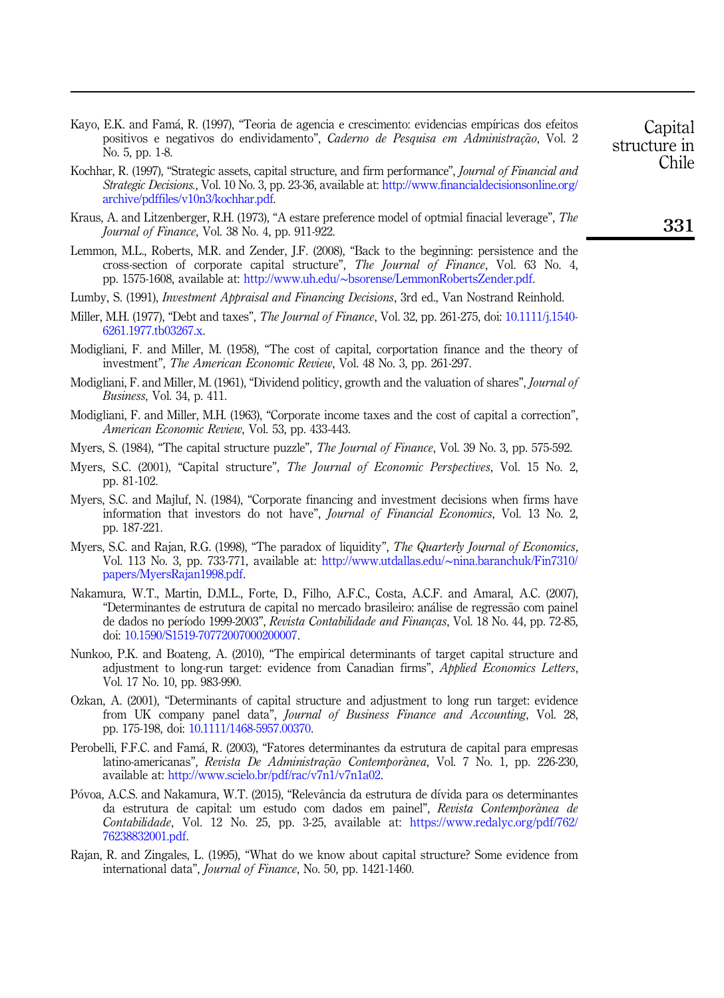<span id="page-14-13"></span>Kayo, E.K. and Famá, R. (1997), "Teoria de agencia e crescimento: evidencias empíricas dos efeitos positivos e negativos do endividamento", Caderno de Pesquisa em Administração. Vol. 2 No. 5, pp. 1-8.

- <span id="page-14-0"></span>Kochhar, R. (1997), "Strategic assets, capital structure, and firm performance", *Journal of Financial and* Strategic Decisions., Vol. 10 No. 3, pp. 23-36, available at: [http://www.financialdecisionsonline.org/](http://www.financialdecisionsonline.org/archive/pdffiles/v10n3/kochhar.pdf) [archive/pdffiles/v10n3/kochhar.pdf](http://www.financialdecisionsonline.org/archive/pdffiles/v10n3/kochhar.pdf).
- <span id="page-14-4"></span>Kraus, A. and Litzenberger, R.H. (1973), "A estare preference model of optmial finacial leverage", The Journal of Finance, Vol. 38 No. 4, pp. 911-922.
- <span id="page-14-16"></span>Lemmon, M.L., Roberts, M.R. and Zender, J.F. (2008), "Back to the beginning: persistence and the cross-section of corporate capital structure", The Journal of Finance, Vol. 63 No. 4, pp. 1575-1608, available at: http://www.uh.edu/∼[bsorense/LemmonRobertsZender.pdf](http://www.uh.edu/~bsorense/LemmonRobertsZender.pdf).
- <span id="page-14-7"></span>Lumby, S. (1991), *Investment Appraisal and Financing Decisions*, 3rd ed., Van Nostrand Reinhold.
- <span id="page-14-10"></span>Miller, M.H. (1977), "Debt and taxes", *The Journal of Finance*, Vol. 32, pp. 261-275, doi: [10.1111/j.1540-](https://doi.org/10.1111/j.1540-6261.1977.tb03267.x) [6261.1977.tb03267.x](https://doi.org/10.1111/j.1540-6261.1977.tb03267.x).
- <span id="page-14-2"></span>Modigliani, F. and Miller, M. (1958), "The cost of capital, corportation finance and the theory of investment", The American Economic Review, Vol. 48 No. 3, pp. 261-297.
- <span id="page-14-9"></span>Modigliani, F. and Miller, M. (1961), "Dividend politicy, growth and the valuation of shares", *Journal of* Business, Vol. 34, p. 411.
- <span id="page-14-3"></span>Modigliani, F. and Miller, M.H. (1963), "Corporate income taxes and the cost of capital a correction", American Economic Review, Vol. 53, pp. 433-443.
- <span id="page-14-6"></span>Myers, S. (1984), "The capital structure puzzle", *The Journal of Finance*, Vol. 39 No. 3, pp. 575-592.
- <span id="page-14-11"></span>Myers, S.C. (2001), "Capital structure", The Journal of Economic Perspectives, Vol. 15 No. 2, pp. 81-102.
- <span id="page-14-5"></span>Myers, S.C. and Majluf, N. (1984), "Corporate financing and investment decisions when firms have information that investors do not have", Journal of Financial Economics, Vol. 13 No. 2, pp. 187-221.
- <span id="page-14-17"></span>Myers, S.C. and Rajan, R.G. (1998), "The paradox of liquidity", The Quarterly Journal of Economics, Vol. 113 No. 3, pp. 733-771, available at: http://www.utdallas.edu/∼[nina.baranchuk/Fin7310/](http://www.utdallas.edu/~nina.baranchuk/Fin7310/papers/MyersRajan1998.pdf) [papers/MyersRajan1998.pdf.](http://www.utdallas.edu/~nina.baranchuk/Fin7310/papers/MyersRajan1998.pdf)
- <span id="page-14-12"></span>Nakamura, W.T., Martin, D.M.L., Forte, D., Filho, A.F.C., Costa, A.C.F. and Amaral, A.C. (2007), "Determinantes de estrutura de capital no mercado brasileiro: análise de regressão com painel de dados no período 1999-2003", Revista Contabilidade and Finanças, Vol. 18 No. 44, pp. 72-85, doi: [10.1590/S1519-70772007000200007.](https://doi.org/10.1590/S1519-70772007000200007)
- <span id="page-14-14"></span>Nunkoo, P.K. and Boateng, A. (2010), "The empirical determinants of target capital structure and adjustment to long-run target: evidence from Canadian firms", Applied Economics Letters, Vol. 17 No. 10, pp. 983-990.
- <span id="page-14-18"></span>Ozkan, A. (2001), "Determinants of capital structure and adjustment to long run target: evidence from UK company panel data", *Journal of Business Finance and Accounting*, Vol. 28, pp. 175-198, doi: [10.1111/1468-5957.00370.](https://doi.org/10.1111/1468-5957.00370)
- <span id="page-14-1"></span>Perobelli, F.F.C. and Famá, R. (2003), "Fatores determinantes da estrutura de capital para empresas latino-americanas", Revista De Administração Contemporânea, Vol. 7 No. 1, pp. 226-230, available at: [http://www.scielo.br/pdf/rac/v7n1/v7n1a02.](http://www.scielo.br/pdf/rac/v7n1/v7n1a02)
- <span id="page-14-15"></span>Póvoa, A.C.S. and Nakamura, W.T. (2015), "Relevância da estrutura de dívida para os determinantes da estrutura de capital: um estudo com dados em painel", Revista Contemporânea de Contabilidade, Vol. 12 No. 25, pp. 3-25, available at: [https://www.redalyc.org/pdf/762/](https://www.redalyc.org/pdf/762/76238832001.pdf) [76238832001.pdf.](https://www.redalyc.org/pdf/762/76238832001.pdf)
- <span id="page-14-8"></span>Rajan, R. and Zingales, L. (1995), "What do we know about capital structure? Some evidence from international data", Journal of Finance, No. 50, pp. 1421-1460.

Chile

**Capital** structure in

# 331